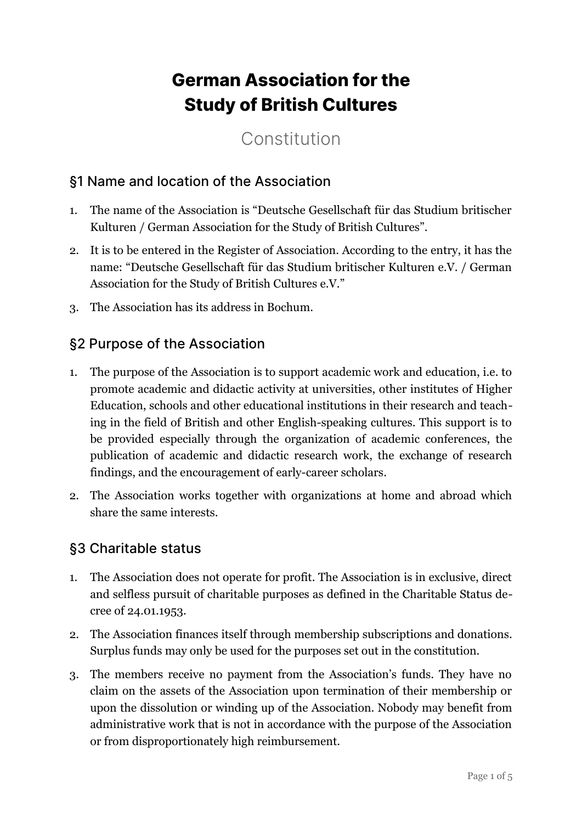# **German Association for the Study of British Cultures**

# Constitution

#### §1 Name and location of the Association

- 1. The name of the Association is "Deutsche Gesellschaft für das Studium britischer Kulturen / German Association for the Study of British Cultures".
- 2. It is to be entered in the Register of Association. According to the entry, it has the name: "Deutsche Gesellschaft für das Studium britischer Kulturen e.V. / German Association for the Study of British Cultures e.V."
- 3. The Association has its address in Bochum.

#### §2 Purpose of the Association

- 1. The purpose of the Association is to support academic work and education, i.e. to promote academic and didactic activity at universities, other institutes of Higher Education, schools and other educational institutions in their research and teaching in the field of British and other English-speaking cultures. This support is to be provided especially through the organization of academic conferences, the publication of academic and didactic research work, the exchange of research findings, and the encouragement of early-career scholars.
- 2. The Association works together with organizations at home and abroad which share the same interests.

#### §3 Charitable status

- 1. The Association does not operate for profit. The Association is in exclusive, direct and selfless pursuit of charitable purposes as defined in the Charitable Status decree of 24.01.1953.
- 2. The Association finances itself through membership subscriptions and donations. Surplus funds may only be used for the purposes set out in the constitution.
- 3. The members receive no payment from the Association's funds. They have no claim on the assets of the Association upon termination of their membership or upon the dissolution or winding up of the Association. Nobody may benefit from administrative work that is not in accordance with the purpose of the Association or from disproportionately high reimbursement.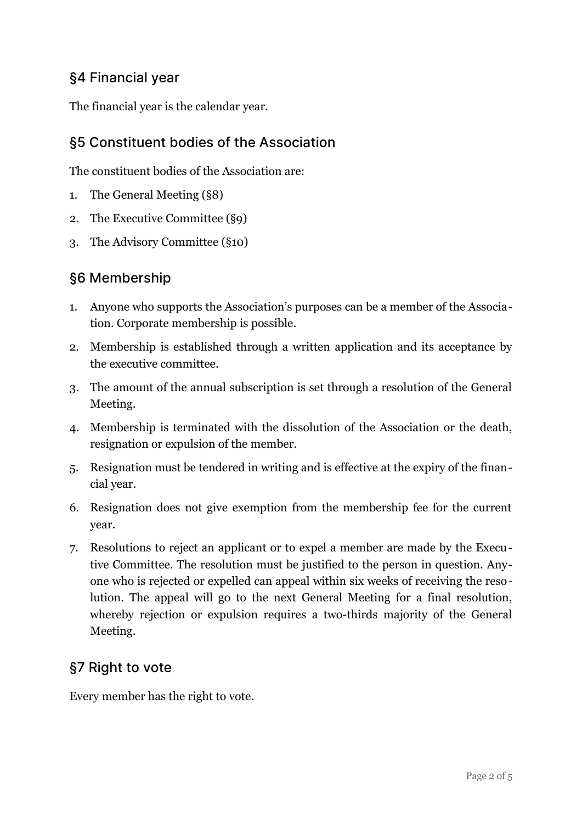#### §4 Financial year

The financial year is the calendar year.

## §5 Constituent bodies of the Association

The constituent bodies of the Association are:

- 1. The General Meeting (§8)
- 2. The Executive Committee (§9)
- 3. The Advisory Committee (§10)

### §6 Membership

- 1. Anyone who supports the Association's purposes can be a member of the Association. Corporate membership is possible.
- 2. Membership is established through a written application and its acceptance by the executive committee.
- 3. The amount of the annual subscription is set through a resolution of the General Meeting.
- 4. Membership is terminated with the dissolution of the Association or the death, resignation or expulsion of the member.
- 5. Resignation must be tendered in writing and is effective at the expiry of the financial year.
- 6. Resignation does not give exemption from the membership fee for the current year.
- 7. Resolutions to reject an applicant or to expel a member are made by the Executive Committee. The resolution must be justified to the person in question. Anyone who is rejected or expelled can appeal within six weeks of receiving the resolution. The appeal will go to the next General Meeting for a final resolution, whereby rejection or expulsion requires a two-thirds majority of the General Meeting.

### §7 Right to vote

Every member has the right to vote.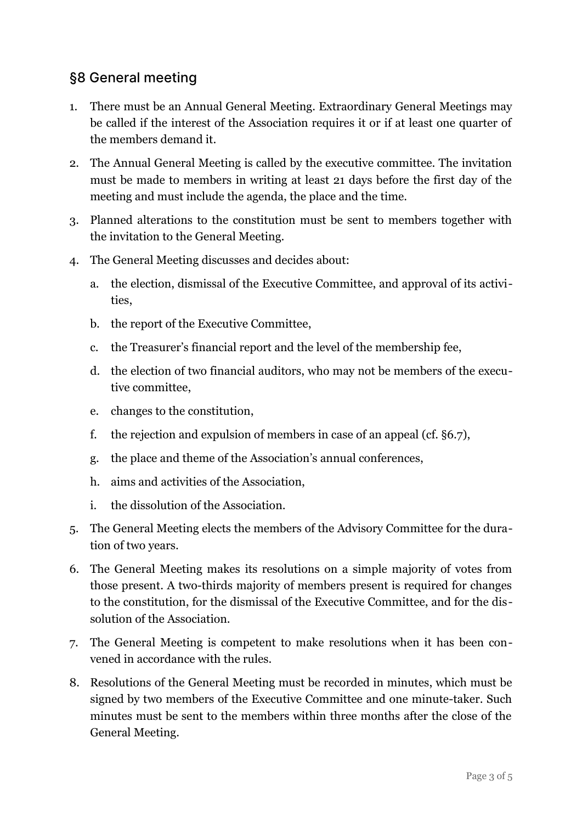#### §8 General meeting

- 1. There must be an Annual General Meeting. Extraordinary General Meetings may be called if the interest of the Association requires it or if at least one quarter of the members demand it.
- 2. The Annual General Meeting is called by the executive committee. The invitation must be made to members in writing at least 21 days before the first day of the meeting and must include the agenda, the place and the time.
- 3. Planned alterations to the constitution must be sent to members together with the invitation to the General Meeting.
- 4. The General Meeting discusses and decides about:
	- a. the election, dismissal of the Executive Committee, and approval of its activities,
	- b. the report of the Executive Committee,
	- c. the Treasurer's financial report and the level of the membership fee,
	- d. the election of two financial auditors, who may not be members of the executive committee,
	- e. changes to the constitution,
	- f. the rejection and expulsion of members in case of an appeal (cf. §6.7),
	- g. the place and theme of the Association's annual conferences,
	- h. aims and activities of the Association,
	- i. the dissolution of the Association.
- 5. The General Meeting elects the members of the Advisory Committee for the duration of two years.
- 6. The General Meeting makes its resolutions on a simple majority of votes from those present. A two-thirds majority of members present is required for changes to the constitution, for the dismissal of the Executive Committee, and for the dissolution of the Association.
- 7. The General Meeting is competent to make resolutions when it has been convened in accordance with the rules.
- 8. Resolutions of the General Meeting must be recorded in minutes, which must be signed by two members of the Executive Committee and one minute-taker. Such minutes must be sent to the members within three months after the close of the General Meeting.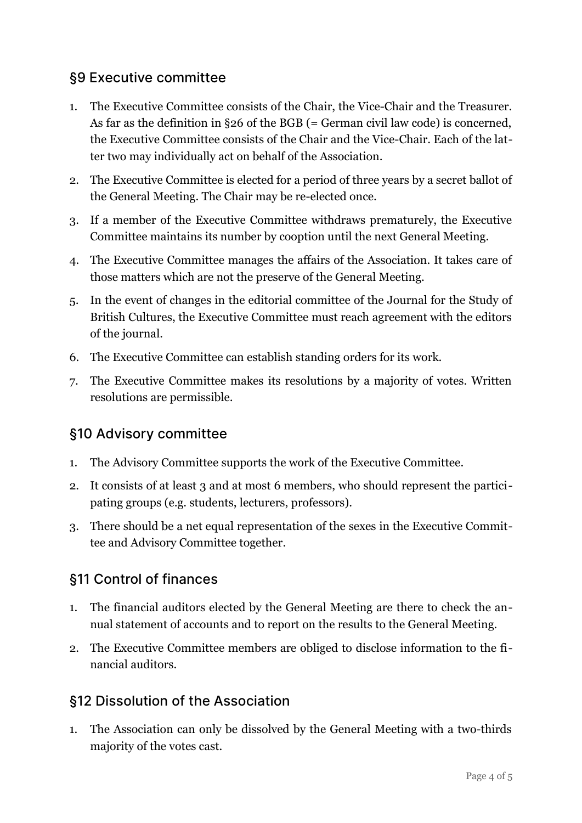#### §9 Executive committee

- 1. The Executive Committee consists of the Chair, the Vice-Chair and the Treasurer. As far as the definition in §26 of the BGB (= German civil law code) is concerned, the Executive Committee consists of the Chair and the Vice-Chair. Each of the latter two may individually act on behalf of the Association.
- 2. The Executive Committee is elected for a period of three years by a secret ballot of the General Meeting. The Chair may be re-elected once.
- 3. If a member of the Executive Committee withdraws prematurely, the Executive Committee maintains its number by cooption until the next General Meeting.
- 4. The Executive Committee manages the affairs of the Association. It takes care of those matters which are not the preserve of the General Meeting.
- 5. In the event of changes in the editorial committee of the Journal for the Study of British Cultures, the Executive Committee must reach agreement with the editors of the journal.
- 6. The Executive Committee can establish standing orders for its work.
- 7. The Executive Committee makes its resolutions by a majority of votes. Written resolutions are permissible.

### §10 Advisory committee

- 1. The Advisory Committee supports the work of the Executive Committee.
- 2. It consists of at least 3 and at most 6 members, who should represent the participating groups (e.g. students, lecturers, professors).
- 3. There should be a net equal representation of the sexes in the Executive Committee and Advisory Committee together.

### §11 Control of finances

- 1. The financial auditors elected by the General Meeting are there to check the annual statement of accounts and to report on the results to the General Meeting.
- 2. The Executive Committee members are obliged to disclose information to the financial auditors.

#### §12 Dissolution of the Association

1. The Association can only be dissolved by the General Meeting with a two-thirds majority of the votes cast.